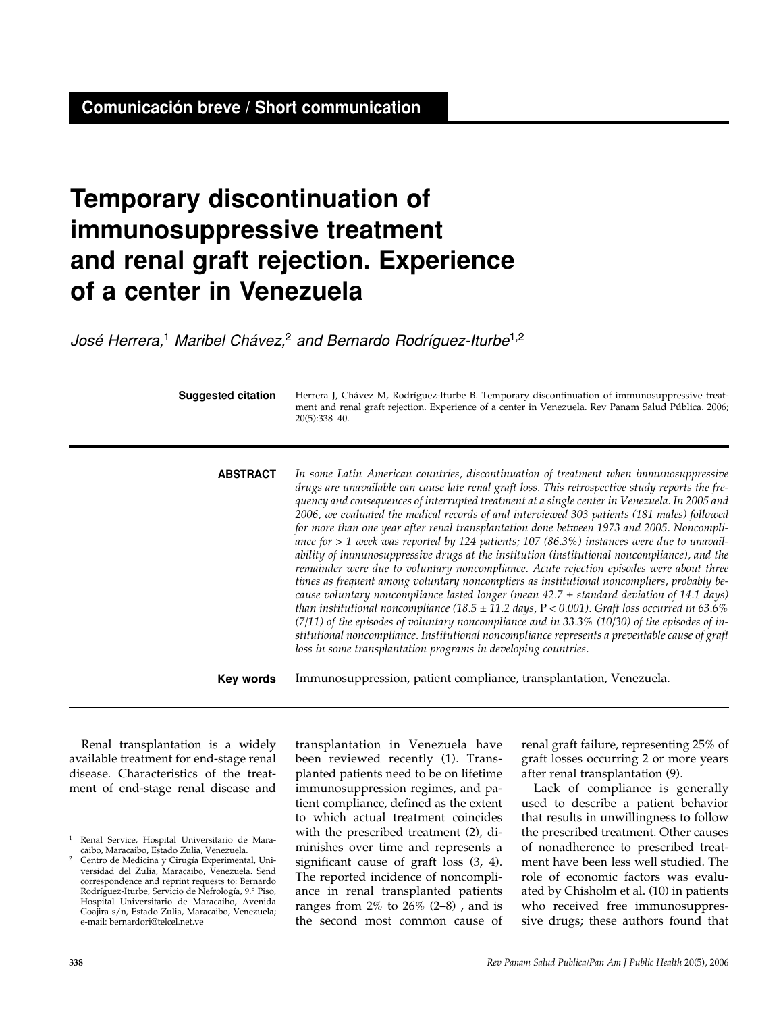# **Temporary discontinuation of immunosuppressive treatment and renal graft rejection. Experience of a center in Venezuela**

José Herrera,<sup>1</sup> Maribel Chávez,<sup>2</sup> and Bernardo Rodríguez-Iturbe<sup>1,2</sup>

**Suggested citation**

Herrera J, Chávez M, Rodríguez-Iturbe B. Temporary discontinuation of immunosuppressive treatment and renal graft rejection. Experience of a center in Venezuela. Rev Panam Salud Pública. 2006; 20(5):338–40.

*In some Latin American countries, discontinuation of treatment when immunosuppressive drugs are unavailable can cause late renal graft loss. This retrospective study reports the frequency and consequences of interrupted treatment at a single center in Venezuela. In 2005 and 2006, we evaluated the medical records of and interviewed 303 patients (181 males) followed for more than one year after renal transplantation done between 1973 and 2005. Noncompliance for > 1 week was reported by 124 patients; 107 (86.3%) instances were due to unavailability of immunosuppressive drugs at the institution (institutional noncompliance), and the remainder were due to voluntary noncompliance. Acute rejection episodes were about three times as frequent among voluntary noncompliers as institutional noncompliers, probably because voluntary noncompliance lasted longer (mean 42.7 ± standard deviation of 14.1 days) than institutional noncompliance* (18.5  $\pm$  11.2 days, P < 0.001). Graft loss occurred in 63.6% *(7/11) of the episodes of voluntary noncompliance and in 33.3% (10/30) of the episodes of in-***ABSTRACT**

*loss in some transplantation programs in developing countries.*

*stitutional noncompliance. Institutional noncompliance represents a preventable cause of graft*

Immunosuppression, patient compliance, transplantation, Venezuela. **Key words**

Renal transplantation is a widely available treatment for end-stage renal disease. Characteristics of the treatment of end-stage renal disease and transplantation in Venezuela have been reviewed recently (1). Transplanted patients need to be on lifetime immunosuppression regimes, and patient compliance, defined as the extent to which actual treatment coincides with the prescribed treatment (2), diminishes over time and represents a significant cause of graft loss (3, 4). The reported incidence of noncompliance in renal transplanted patients ranges from  $2\%$  to  $26\%$  (2–8), and is the second most common cause of

renal graft failure, representing 25% of graft losses occurring 2 or more years after renal transplantation (9).

Lack of compliance is generally used to describe a patient behavior that results in unwillingness to follow the prescribed treatment. Other causes of nonadherence to prescribed treatment have been less well studied. The role of economic factors was evaluated by Chisholm et al. (10) in patients who received free immunosuppressive drugs; these authors found that

Renal Service, Hospital Universitario de Mara-<br>caibo, Maracaibo, Estado Zulia, Venezuela.

Centro de Medicina y Cirugía Experimental, Universidad del Zulia, Maracaibo, Venezuela. Send correspondence and reprint requests to: Bernardo Rodríguez-Iturbe, Servicio de Nefrología, 9.° Piso, Hospital Universitario de Maracaibo, Avenida Goajira s/n, Estado Zulia, Maracaibo, Venezuela; e-mail: bernardori@telcel.net.ve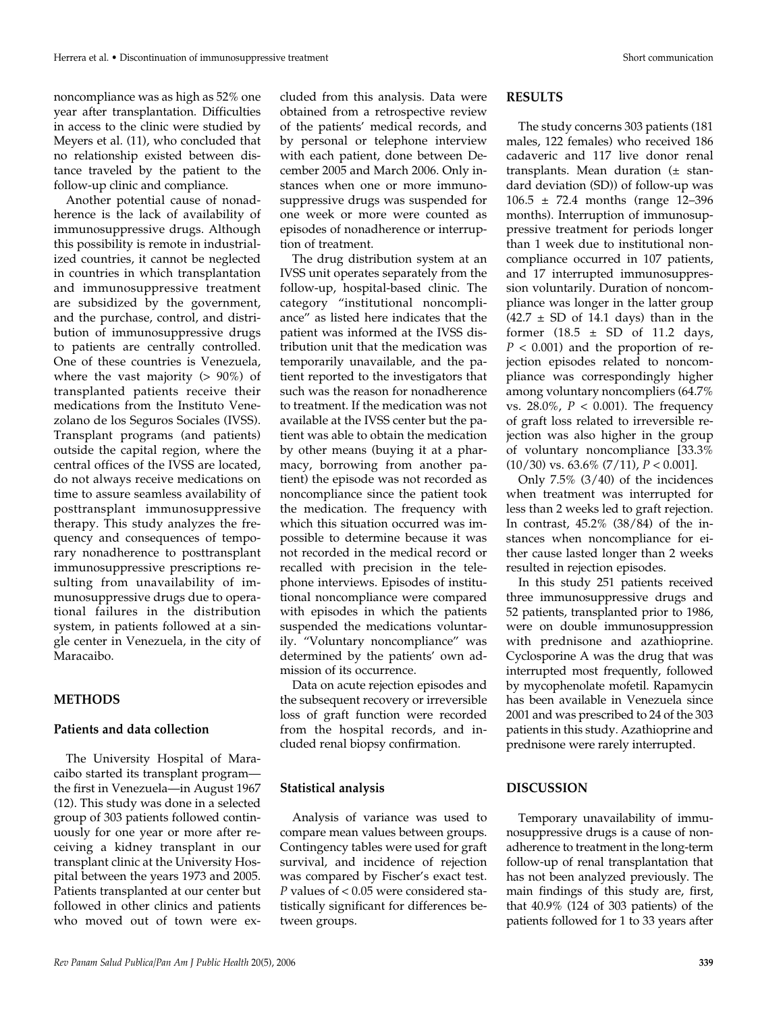noncompliance was as high as 52% one year after transplantation. Difficulties in access to the clinic were studied by Meyers et al. (11), who concluded that no relationship existed between distance traveled by the patient to the follow-up clinic and compliance.

Another potential cause of nonadherence is the lack of availability of immunosuppressive drugs. Although this possibility is remote in industrialized countries, it cannot be neglected in countries in which transplantation and immunosuppressive treatment are subsidized by the government, and the purchase, control, and distribution of immunosuppressive drugs to patients are centrally controlled. One of these countries is Venezuela, where the vast majority  $(> 90\%)$  of transplanted patients receive their medications from the Instituto Venezolano de los Seguros Sociales (IVSS). Transplant programs (and patients) outside the capital region, where the central offices of the IVSS are located, do not always receive medications on time to assure seamless availability of posttransplant immunosuppressive therapy. This study analyzes the frequency and consequences of temporary nonadherence to posttransplant immunosuppressive prescriptions resulting from unavailability of immunosuppressive drugs due to operational failures in the distribution system, in patients followed at a single center in Venezuela, in the city of Maracaibo.

# **METHODS**

#### **Patients and data collection**

The University Hospital of Maracaibo started its transplant program the first in Venezuela—in August 1967 (12). This study was done in a selected group of 303 patients followed continuously for one year or more after receiving a kidney transplant in our transplant clinic at the University Hospital between the years 1973 and 2005. Patients transplanted at our center but followed in other clinics and patients who moved out of town were ex-

cluded from this analysis. Data were obtained from a retrospective review of the patients' medical records, and by personal or telephone interview with each patient, done between December 2005 and March 2006. Only instances when one or more immunosuppressive drugs was suspended for one week or more were counted as episodes of nonadherence or interruption of treatment.

The drug distribution system at an IVSS unit operates separately from the follow-up, hospital-based clinic. The category "institutional noncompliance" as listed here indicates that the patient was informed at the IVSS distribution unit that the medication was temporarily unavailable, and the patient reported to the investigators that such was the reason for nonadherence to treatment. If the medication was not available at the IVSS center but the patient was able to obtain the medication by other means (buying it at a pharmacy, borrowing from another patient) the episode was not recorded as noncompliance since the patient took the medication. The frequency with which this situation occurred was impossible to determine because it was not recorded in the medical record or recalled with precision in the telephone interviews. Episodes of institutional noncompliance were compared with episodes in which the patients suspended the medications voluntarily. "Voluntary noncompliance" was determined by the patients' own admission of its occurrence.

Data on acute rejection episodes and the subsequent recovery or irreversible loss of graft function were recorded from the hospital records, and included renal biopsy confirmation.

## **Statistical analysis**

Analysis of variance was used to compare mean values between groups. Contingency tables were used for graft survival, and incidence of rejection was compared by Fischer's exact test. *P* values of < 0.05 were considered statistically significant for differences between groups.

#### **RESULTS**

The study concerns 303 patients (181 males, 122 females) who received 186 cadaveric and 117 live donor renal transplants. Mean duration (± standard deviation (SD)) of follow-up was 106.5 ± 72.4 months (range 12–396 months). Interruption of immunosuppressive treatment for periods longer than 1 week due to institutional noncompliance occurred in 107 patients, and 17 interrupted immunosuppression voluntarily. Duration of noncompliance was longer in the latter group  $(42.7 \pm SD)$  of 14.1 days) than in the former  $(18.5 \pm SD)$  of 11.2 days, *P* < 0.001) and the proportion of rejection episodes related to noncompliance was correspondingly higher among voluntary noncompliers (64.7% vs. 28.0%, *P* < 0.001). The frequency of graft loss related to irreversible rejection was also higher in the group of voluntary noncompliance [33.3% (10/30) vs. 63.6% (7/11), *P* < 0.001].

Only 7.5% (3/40) of the incidences when treatment was interrupted for less than 2 weeks led to graft rejection. In contrast, 45.2% (38/84) of the instances when noncompliance for either cause lasted longer than 2 weeks resulted in rejection episodes.

In this study 251 patients received three immunosuppressive drugs and 52 patients, transplanted prior to 1986, were on double immunosuppression with prednisone and azathioprine. Cyclosporine A was the drug that was interrupted most frequently, followed by mycophenolate mofetil. Rapamycin has been available in Venezuela since 2001 and was prescribed to 24 of the 303 patients in this study. Azathioprine and prednisone were rarely interrupted.

# **DISCUSSION**

Temporary unavailability of immunosuppressive drugs is a cause of nonadherence to treatment in the long-term follow-up of renal transplantation that has not been analyzed previously. The main findings of this study are, first, that 40.9% (124 of 303 patients) of the patients followed for 1 to 33 years after